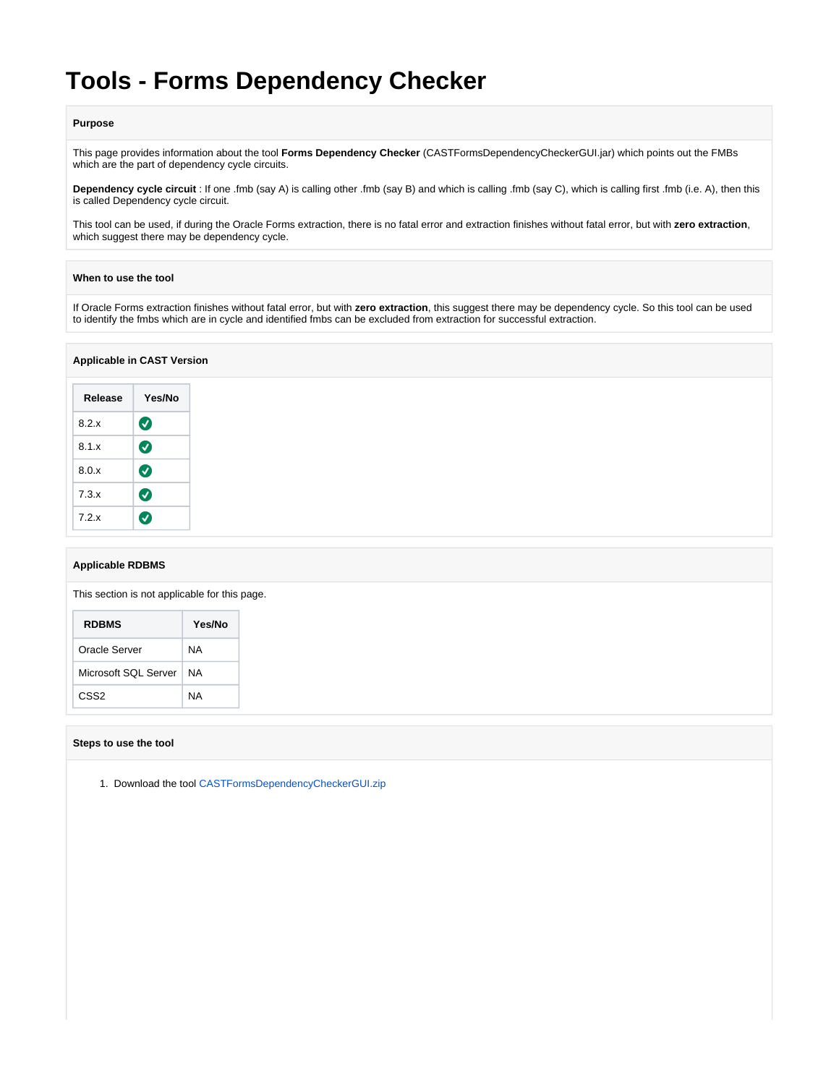# **Tools - Forms Dependency Checker**

## **Purpose**

This page provides information about the tool **Forms Dependency Checker** (CASTFormsDependencyCheckerGUI.jar) which points out the FMBs which are the part of dependency cycle circuits.

**Dependency cycle circuit** : If one .fmb (say A) is calling other .fmb (say B) and which is calling .fmb (say C), which is calling first .fmb (i.e. A), then this is called Dependency cycle circuit.

This tool can be used, if during the Oracle Forms extraction, there is no fatal error and extraction finishes without fatal error, but with **zero extraction**, which suggest there may be dependency cycle.

## **When to use the tool**

If Oracle Forms extraction finishes without fatal error, but with **zero extraction**, this suggest there may be dependency cycle. So this tool can be used to identify the fmbs which are in cycle and identified fmbs can be excluded from extraction for successful extraction.

# **Applicable in CAST Version**

| Release | Yes/No                |
|---------|-----------------------|
| 8.2.x   | $\boldsymbol{\sigma}$ |
| 8.1x    | Ø                     |
| 8.0x    | Ø                     |
| 7.3.x   | Ø                     |
| 7.2x    | V                     |

# **Applicable RDBMS**

This section is not applicable for this page.

| <b>RDBMS</b>         | Yes/No |
|----------------------|--------|
| Oracle Server        | ΝA     |
| Microsoft SQL Server | NA     |
| CSS <sub>2</sub>     | NΑ     |

# **Steps to use the tool**

1. Download the tool [CASTFormsDependencyCheckerGUI.zip](https://doc.castsoftware.com/download/attachments/566526364/CASTFormsDependencyCheckerGUI.zip?version=1&modificationDate=1644596449817&api=v2)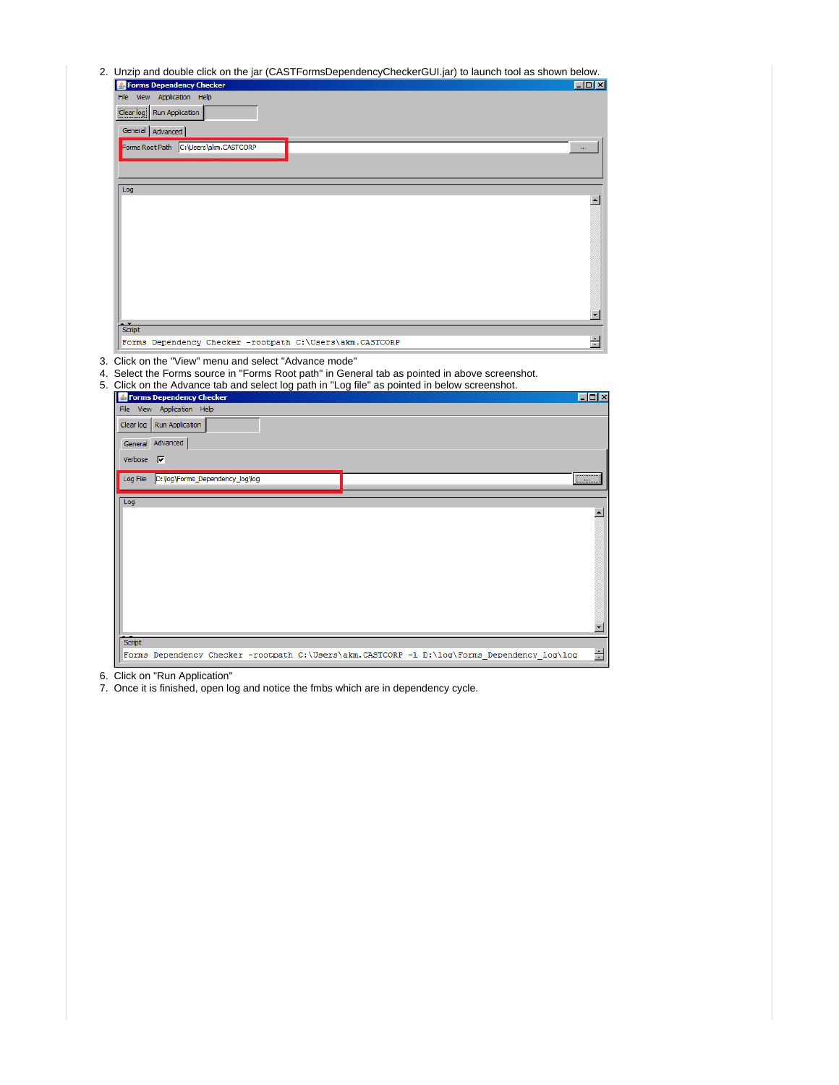2. Unzip and double click on the jar (CASTFormsDependencyCheckerGUI.jar) to launch tool as shown below.

| ener. en me jar (en le monde epondene) encerar e empri , le radiren leer e<br><b>S</b> Forms Dependency Checker                                         | $\Box$ D $\Box$  |
|---------------------------------------------------------------------------------------------------------------------------------------------------------|------------------|
| File<br>View Application Help                                                                                                                           |                  |
| Clear log Run Application                                                                                                                               |                  |
| General Advanced                                                                                                                                        |                  |
| Forms Root Path C:\Users\akm.CASTCORP                                                                                                                   | m,               |
|                                                                                                                                                         |                  |
|                                                                                                                                                         |                  |
| Log                                                                                                                                                     | $\blacktriangle$ |
|                                                                                                                                                         |                  |
|                                                                                                                                                         |                  |
|                                                                                                                                                         |                  |
|                                                                                                                                                         |                  |
|                                                                                                                                                         |                  |
|                                                                                                                                                         |                  |
|                                                                                                                                                         | ▼∣               |
| Script                                                                                                                                                  |                  |
| Forms Dependency Checker -rootpath C:\Users\akm.CASTCORP                                                                                                | 칍                |
| 5. Click on the Advance tab and select log path in "Log file" as pointed in below screenshot.<br>Forms Dependency Checker<br>File View Application Help | <u> - 미 &gt;</u> |
| Clear log   Run Application                                                                                                                             |                  |
| General Advanced                                                                                                                                        |                  |
| Verbose $\nabla$                                                                                                                                        |                  |
| Log File D: Vog \Forms_Dependency_log \log                                                                                                              | للممليا          |
| Log                                                                                                                                                     |                  |
|                                                                                                                                                         | $\blacktriangle$ |
|                                                                                                                                                         |                  |
|                                                                                                                                                         |                  |
|                                                                                                                                                         |                  |
|                                                                                                                                                         |                  |
|                                                                                                                                                         |                  |
|                                                                                                                                                         |                  |
|                                                                                                                                                         | ▼                |
|                                                                                                                                                         |                  |
| Script<br>Forms Dependency Checker -rootpath C:\Users\akm.CASTCORP -1 D:\log\Forms_Dependency_log\log                                                   | Ė                |

6. Click on "Run Application"

7. Once it is finished, open log and notice the fmbs which are in dependency cycle.